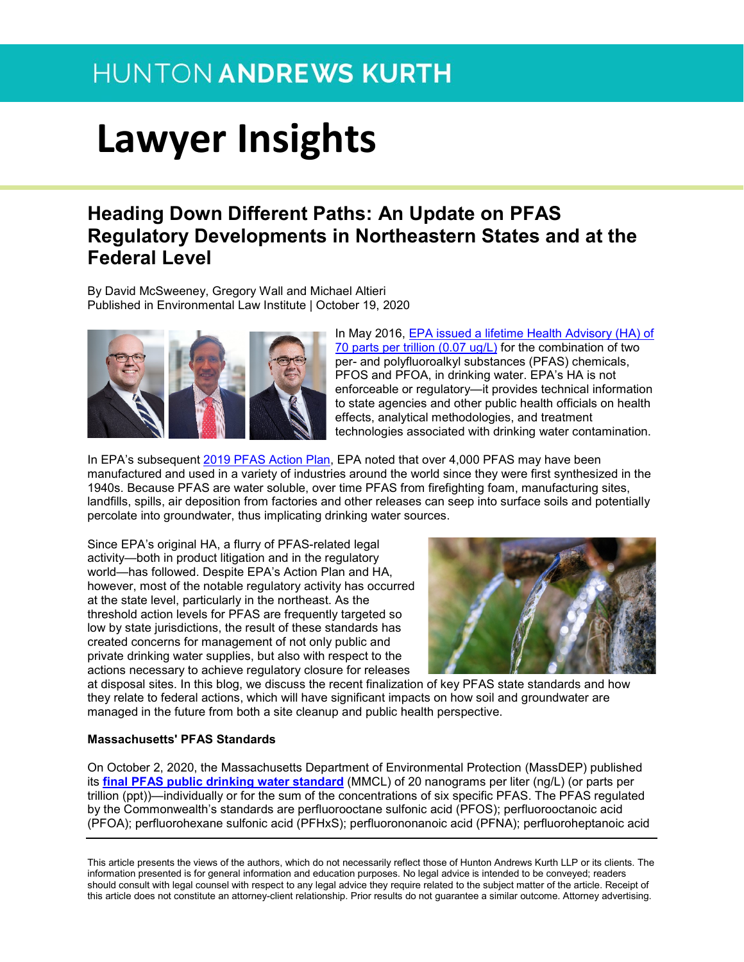# **Lawyer Insights**

### **Heading Down Different Paths: An Update on PFAS Regulatory Developments in Northeastern States and at the Federal Level**

By David McSweeney, Gregory Wall and Michael Altieri Published in Environmental Law Institute | October 19, 2020



In May 2016, [EPA issued a lifetime Health Advisory \(HA\) of](https://urldefense.proofpoint.com/v2/url?u=https-3A__www.epa.gov_ground-2Dwater-2Dand-2Ddrinking-2Dwater_drinking-2Dwater-2Dhealth-2Dadvisories-2Dpfoa-2Dand-2Dpfos-23-3A-7E-3Atext-3DTo-2520provide-2520Americans-252C-2520including-2520the-2Cat-252070-2520parts-2520per-2520trillion.&d=DwMGaQ&c=jxhwBfk-KSV6FFIot0PGng&r=kkDZngVSsQ9FHQMtXGVbng&m=wow-HsJTnuXFRVgHwijEPc03tTm7SmsxqqlCZkFooeo&s=6Og2EgxoL_NHfRiLbfvdZ3x6S4Klp3eFq-cVBjD5IwQ&e=)  [70 parts per trillion \(0.07 ug/L\)](https://urldefense.proofpoint.com/v2/url?u=https-3A__www.epa.gov_ground-2Dwater-2Dand-2Ddrinking-2Dwater_drinking-2Dwater-2Dhealth-2Dadvisories-2Dpfoa-2Dand-2Dpfos-23-3A-7E-3Atext-3DTo-2520provide-2520Americans-252C-2520including-2520the-2Cat-252070-2520parts-2520per-2520trillion.&d=DwMGaQ&c=jxhwBfk-KSV6FFIot0PGng&r=kkDZngVSsQ9FHQMtXGVbng&m=wow-HsJTnuXFRVgHwijEPc03tTm7SmsxqqlCZkFooeo&s=6Og2EgxoL_NHfRiLbfvdZ3x6S4Klp3eFq-cVBjD5IwQ&e=) for the combination of two per- and polyfluoroalkyl substances (PFAS) chemicals, PFOS and PFOA, in drinking water. EPA's HA is not enforceable or regulatory—it provides technical information to state agencies and other public health officials on health effects, analytical methodologies, and treatment technologies associated with drinking water contamination.

In EPA's subsequent [2019 PFAS Action Plan,](https://urldefense.proofpoint.com/v2/url?u=https-3A__www.epa.gov_pfas_epas-2Dpfas-2Daction-2Dplan&d=DwMGaQ&c=jxhwBfk-KSV6FFIot0PGng&r=kkDZngVSsQ9FHQMtXGVbng&m=wow-HsJTnuXFRVgHwijEPc03tTm7SmsxqqlCZkFooeo&s=nPtk3bH1RYn2yIcfHzE_tVp8d-Hou1cDP9cl-B3ckcI&e=) EPA noted that over 4,000 PFAS may have been manufactured and used in a variety of industries around the world since they were first synthesized in the 1940s. Because PFAS are water soluble, over time PFAS from firefighting foam, manufacturing sites, landfills, spills, air deposition from factories and other releases can seep into surface soils and potentially percolate into groundwater, thus implicating drinking water sources.

Since EPA's original HA, a flurry of PFAS-related legal activity—both in product litigation and in the regulatory world—has followed. Despite EPA's Action Plan and HA, however, most of the notable regulatory activity has occurred at the state level, particularly in the northeast. As the threshold action levels for PFAS are frequently targeted so low by state jurisdictions, the result of these standards has created concerns for management of not only public and private drinking water supplies, but also with respect to the actions necessary to achieve regulatory closure for releases



at disposal sites. In this blog, we discuss the recent finalization of key PFAS state standards and how they relate to federal actions, which will have significant impacts on how soil and groundwater are managed in the future from both a site cleanup and public health perspective.

#### **Massachusetts' PFAS Standards**

On October 2, 2020, the Massachusetts Department of Environmental Protection (MassDEP) published its **[final PFAS public drinking water standard](https://urldefense.proofpoint.com/v2/url?u=https-3A__www.mass.gov_regulations_310-2DCMR-2D22-2Dthe-2Dmassachusetts-2Ddrinking-2Dwater-2Dregulations&d=DwMGaQ&c=jxhwBfk-KSV6FFIot0PGng&r=kkDZngVSsQ9FHQMtXGVbng&m=wow-HsJTnuXFRVgHwijEPc03tTm7SmsxqqlCZkFooeo&s=acCmBYxB4nozvG4Dy30kDhF4G0ScSitRPlF4wveVkEE&e=)** (MMCL) of 20 nanograms per liter (ng/L) (or parts per trillion (ppt))—individually or for the sum of the concentrations of six specific PFAS. The PFAS regulated by the Commonwealth's standards are perfluorooctane sulfonic acid (PFOS); perfluorooctanoic acid (PFOA); perfluorohexane sulfonic acid (PFHxS); perfluorononanoic acid (PFNA); perfluoroheptanoic acid

This article presents the views of the authors, which do not necessarily reflect those of Hunton Andrews Kurth LLP or its clients. The information presented is for general information and education purposes. No legal advice is intended to be conveyed; readers should consult with legal counsel with respect to any legal advice they require related to the subject matter of the article. Receipt of this article does not constitute an attorney-client relationship. Prior results do not guarantee a similar outcome. Attorney advertising.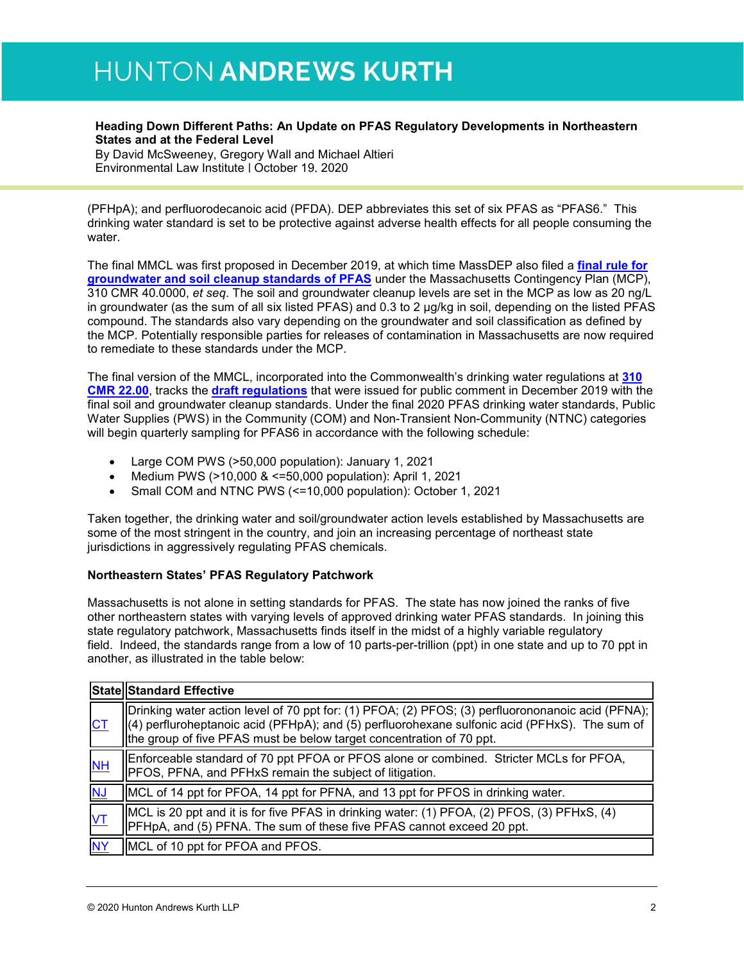#### **Heading Down Different Paths: An Update on PFAS Regulatory Developments in Northeastern States and at the Federal Level**

By David McSweeney, Gregory Wall and Michael Altieri Environmental Law Institute | October 19, 2020

(PFHpA); and perfluorodecanoic acid (PFDA). DEP abbreviates this set of six PFAS as "PFAS6." This drinking water standard is set to be protective against adverse health effects for all people consuming the water.

The final MMCL was first proposed in December 2019, at which time MassDEP also filed a **[final rule for](https://urldefense.proofpoint.com/v2/url?u=https-3A__www.mass.gov_lists_final-2Dpfas-2Drelated-2Drevisions-2Dto-2Dthe-2Dmcp-2D2019&d=DwMGaQ&c=jxhwBfk-KSV6FFIot0PGng&r=kkDZngVSsQ9FHQMtXGVbng&m=wow-HsJTnuXFRVgHwijEPc03tTm7SmsxqqlCZkFooeo&s=jUP6LLV2nCwd891U_2i3qa4Niq-Hkc-6ODeAdKvLY28&e=)  [groundwater and soil cleanup standards of PFAS](https://urldefense.proofpoint.com/v2/url?u=https-3A__www.mass.gov_lists_final-2Dpfas-2Drelated-2Drevisions-2Dto-2Dthe-2Dmcp-2D2019&d=DwMGaQ&c=jxhwBfk-KSV6FFIot0PGng&r=kkDZngVSsQ9FHQMtXGVbng&m=wow-HsJTnuXFRVgHwijEPc03tTm7SmsxqqlCZkFooeo&s=jUP6LLV2nCwd891U_2i3qa4Niq-Hkc-6ODeAdKvLY28&e=)** under the Massachusetts Contingency Plan (MCP), 310 CMR 40.0000, *et seq*. The soil and groundwater cleanup levels are set in the MCP as low as 20 ng/L in groundwater (as the sum of all six listed PFAS) and 0.3 to 2 µg/kg in soil, depending on the listed PFAS compound. The standards also vary depending on the groundwater and soil classification as defined by the MCP. Potentially responsible parties for releases of contamination in Massachusetts are now required to remediate to these standards under the MCP.

The final version of the MMCL, incorporated into the Commonwealth's drinking water regulations at **[310](https://urldefense.proofpoint.com/v2/url?u=http-3A__r20.rs6.net_tn.jsp-3Ff-3D001sQbrR-5FZdrvIn6Bimqj6WzoKhjmEIyvEMZQAX6vtWZn52NF-2Dx4ewUig7inKd5J24vnKXD75bJAjOcwf3mnVl8NNf8r8RBYCr-2DD4oVMteyBHZ3ZRIgK5qH8Ka0d3am97p61ci3uLAyMAx-2Dmxdd8vr8LPW-5FVa-5FMHKndU5bFmon42SDOZOj4pAb-5F-2DgtfTB1LiWix6FDsVwWb7OCCyL301qzaRP1ImEXb-5F-2Dkc0LnXspBzETUm9qVRQw6e9SSr-5F4Olz5TjpbCMY7bulV4-3D-26c-3DE8Gj2E1ZC4DeHGgOx4woKb7qYcteqAvksz14YRt5-5FGSAzGYRdYgPZQ-3D-3D-26ch-3DKcZYqCU-5FMIPMfNdZhlZmoh89JkT94kSxST3wwHaISdlGFFp9OPGBBA-3D-3D&d=DwMFaQ&c=jxhwBfk-KSV6FFIot0PGng&r=roMNrvtUgo7hwA0LVz34y0FSTFmKXBY-rLhK2r4vP_4&m=KuG0dcD8PmqtiTwL65a9UC66Wyt17vhpHc9LD6ZQbgU&s=CijH5roOC4eKUdaiK7jPsM65Vq8PLwp7MpmDQEot5k8&e=)  [CMR 22.00](https://urldefense.proofpoint.com/v2/url?u=http-3A__r20.rs6.net_tn.jsp-3Ff-3D001sQbrR-5FZdrvIn6Bimqj6WzoKhjmEIyvEMZQAX6vtWZn52NF-2Dx4ewUig7inKd5J24vnKXD75bJAjOcwf3mnVl8NNf8r8RBYCr-2DD4oVMteyBHZ3ZRIgK5qH8Ka0d3am97p61ci3uLAyMAx-2Dmxdd8vr8LPW-5FVa-5FMHKndU5bFmon42SDOZOj4pAb-5F-2DgtfTB1LiWix6FDsVwWb7OCCyL301qzaRP1ImEXb-5F-2Dkc0LnXspBzETUm9qVRQw6e9SSr-5F4Olz5TjpbCMY7bulV4-3D-26c-3DE8Gj2E1ZC4DeHGgOx4woKb7qYcteqAvksz14YRt5-5FGSAzGYRdYgPZQ-3D-3D-26ch-3DKcZYqCU-5FMIPMfNdZhlZmoh89JkT94kSxST3wwHaISdlGFFp9OPGBBA-3D-3D&d=DwMFaQ&c=jxhwBfk-KSV6FFIot0PGng&r=roMNrvtUgo7hwA0LVz34y0FSTFmKXBY-rLhK2r4vP_4&m=KuG0dcD8PmqtiTwL65a9UC66Wyt17vhpHc9LD6ZQbgU&s=CijH5roOC4eKUdaiK7jPsM65Vq8PLwp7MpmDQEot5k8&e=)**, tracks the **[draft regulations](https://urldefense.proofpoint.com/v2/url?u=http-3A__r20.rs6.net_tn.jsp-3Ff-3D001sQbrR-5FZdrvIn6Bimqj6WzoKhjmEIyvEMZQAX6vtWZn52NF-2Dx4ewUig7inKd5J24vPvS8kS6y-2DNR1OvN2cwyz1vwbiHOdni3R0n1Z392jFIHw1DIk5BHR1xLBSroDypdAEUX1F9vYhE9OD27WtnXpYS-5FcTdMun2mRqaexvRhfTW-2D8PiT0Utx8E-5FXFWXNnS0ciw7jWINb6sDJve0ZZzn3Bw1ZjzKdKzH9i2CPr4xdAWXUWDLsj330JAB5YbqTzTUaePQQMZErrEKqrfZFlwY8QHr9D-5F5L-5FUIfzI9nX5FSJQFM9CxSsNbN2gEbZQzWpqR1DemjC7feDrnCRUJTF8Y2qZgjEwOlZ096A-26c-3DE8Gj2E1ZC4DeHGgOx4woKb7qYcteqAvksz14YRt5-5FGSAzGYRdYgPZQ-3D-3D-26ch-3DKcZYqCU-5FMIPMfNdZhlZmoh89JkT94kSxST3wwHaISdlGFFp9OPGBBA-3D-3D&d=DwMFaQ&c=jxhwBfk-KSV6FFIot0PGng&r=roMNrvtUgo7hwA0LVz34y0FSTFmKXBY-rLhK2r4vP_4&m=KuG0dcD8PmqtiTwL65a9UC66Wyt17vhpHc9LD6ZQbgU&s=cmgjRAVxhuiRylf6p4pYPbxOdX_1LGLTJZUztTdW8-E&e=)** that were issued for public comment in December 2019 with the final soil and groundwater cleanup standards. Under the final 2020 PFAS drinking water standards, Public Water Supplies (PWS) in the Community (COM) and Non-Transient Non-Community (NTNC) categories will begin quarterly sampling for PFAS6 in accordance with the following schedule:

- Large COM PWS (>50,000 population): January 1, 2021
- Medium PWS (>10,000 & <=50,000 population): April 1, 2021
- Small COM and NTNC PWS (<=10,000 population): October 1, 2021

Taken together, the drinking water and soil/groundwater action levels established by Massachusetts are some of the most stringent in the country, and join an increasing percentage of northeast state jurisdictions in aggressively regulating PFAS chemicals.

#### **Northeastern States' PFAS Regulatory Patchwork**

Massachusetts is not alone in setting standards for PFAS. The state has now joined the ranks of five other northeastern states with varying levels of approved drinking water PFAS standards. In joining this state regulatory patchwork, Massachusetts finds itself in the midst of a highly variable regulatory field. Indeed, the standards range from a low of 10 parts-per-trillion (ppt) in one state and up to 70 ppt in another, as illustrated in the table below:

|                | State Standard Effective                                                                                                                                                                                                                                                               |
|----------------|----------------------------------------------------------------------------------------------------------------------------------------------------------------------------------------------------------------------------------------------------------------------------------------|
| <b>CT</b>      | Drinking water action level of 70 ppt for: (1) PFOA; (2) PFOS; (3) perfluorononanoic acid (PFNA);<br>$\parallel$ (4) perfluroheptanoic acid (PFHpA); and (5) perfluorohexane sulfonic acid (PFHxS). The sum of<br>the group of five PFAS must be below target concentration of 70 ppt. |
| N <sub>H</sub> | Enforceable standard of 70 ppt PFOA or PFOS alone or combined. Stricter MCLs for PFOA,<br>PFOS, PFNA, and PFHxS remain the subject of litigation.                                                                                                                                      |
| <b>NJ</b>      | MCL of 14 ppt for PFOA, 14 ppt for PFNA, and 13 ppt for PFOS in drinking water.                                                                                                                                                                                                        |
| ΙVΤ            | MCL is 20 ppt and it is for five PFAS in drinking water: (1) PFOA, (2) PFOS, (3) PFHxS, (4)<br>PFHpA, and (5) PFNA. The sum of these five PFAS cannot exceed 20 ppt.                                                                                                                   |
| <b>NY</b>      | MCL of 10 ppt for PFOA and PFOS.                                                                                                                                                                                                                                                       |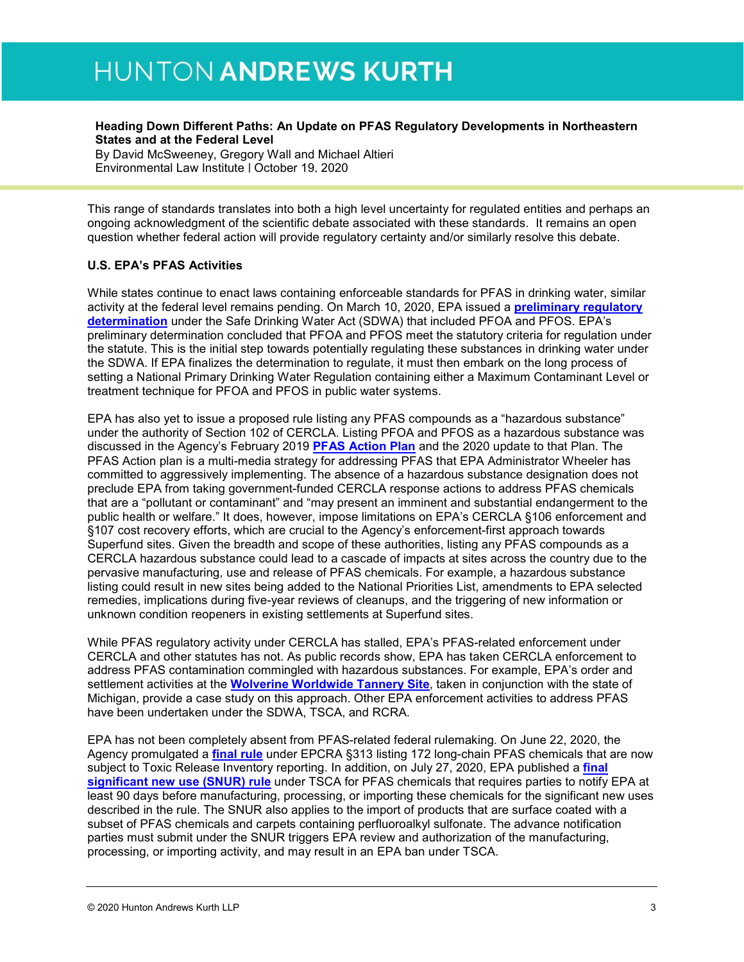#### **Heading Down Different Paths: An Update on PFAS Regulatory Developments in Northeastern States and at the Federal Level**

By David McSweeney, Gregory Wall and Michael Altieri Environmental Law Institute | October 19, 2020

This range of standards translates into both a high level uncertainty for regulated entities and perhaps an ongoing acknowledgment of the scientific debate associated with these standards. It remains an open question whether federal action will provide regulatory certainty and/or similarly resolve this debate.

#### **U.S. EPA's PFAS Activities**

While states continue to enact laws containing enforceable standards for PFAS in drinking water, similar activity at the federal level remains pending. On March 10, 2020, EPA issued a **[preliminary regulatory](https://urldefense.proofpoint.com/v2/url?u=https-3A__www.federalregister.gov_documents_2020_03_10_2020-2D04145_announcement-2Dof-2Dpreliminary-2Dregulatory-2Ddeterminations-2Dfor-2Dcontaminants-2Don-2Dthe-2Dfourth-2Ddrinking-2Dwater&d=DwMGaQ&c=jxhwBfk-KSV6FFIot0PGng&r=kkDZngVSsQ9FHQMtXGVbng&m=wow-HsJTnuXFRVgHwijEPc03tTm7SmsxqqlCZkFooeo&s=26R_YulTgIVOOKkFoHcNpN3y8dFfJj_hBF3umNqcjEw&e=)  [determination](https://urldefense.proofpoint.com/v2/url?u=https-3A__www.federalregister.gov_documents_2020_03_10_2020-2D04145_announcement-2Dof-2Dpreliminary-2Dregulatory-2Ddeterminations-2Dfor-2Dcontaminants-2Don-2Dthe-2Dfourth-2Ddrinking-2Dwater&d=DwMGaQ&c=jxhwBfk-KSV6FFIot0PGng&r=kkDZngVSsQ9FHQMtXGVbng&m=wow-HsJTnuXFRVgHwijEPc03tTm7SmsxqqlCZkFooeo&s=26R_YulTgIVOOKkFoHcNpN3y8dFfJj_hBF3umNqcjEw&e=)** under the Safe Drinking Water Act (SDWA) that included PFOA and PFOS. EPA's preliminary determination concluded that PFOA and PFOS meet the statutory criteria for regulation under the statute. This is the initial step towards potentially regulating these substances in drinking water under the SDWA. If EPA finalizes the determination to regulate, it must then embark on the long process of setting a National Primary Drinking Water Regulation containing either a Maximum Contaminant Level or treatment technique for PFOA and PFOS in public water systems.

EPA has also yet to issue a proposed rule listing any PFAS compounds as a "hazardous substance" under the authority of Section 102 of CERCLA. Listing PFOA and PFOS as a hazardous substance was discussed in the Agency's February 2019 **[PFAS Action Plan](https://urldefense.proofpoint.com/v2/url?u=https-3A__www.epa.gov_pfas_epas-2Dpfas-2Daction-2Dplan&d=DwMGaQ&c=jxhwBfk-KSV6FFIot0PGng&r=kkDZngVSsQ9FHQMtXGVbng&m=wow-HsJTnuXFRVgHwijEPc03tTm7SmsxqqlCZkFooeo&s=nPtk3bH1RYn2yIcfHzE_tVp8d-Hou1cDP9cl-B3ckcI&e=)** and the 2020 update to that Plan. The PFAS Action plan is a multi-media strategy for addressing PFAS that EPA Administrator Wheeler has committed to aggressively implementing. The absence of a hazardous substance designation does not preclude EPA from taking government-funded CERCLA response actions to address PFAS chemicals that are a "pollutant or contaminant" and "may present an imminent and substantial endangerment to the public health or welfare." It does, however, impose limitations on EPA's CERCLA §106 enforcement and §107 cost recovery efforts, which are crucial to the Agency's enforcement-first approach towards Superfund sites. Given the breadth and scope of these authorities, listing any PFAS compounds as a CERCLA hazardous substance could lead to a cascade of impacts at sites across the country due to the pervasive manufacturing, use and release of PFAS chemicals. For example, a hazardous substance listing could result in new sites being added to the National Priorities List, amendments to EPA selected remedies, implications during five-year reviews of cleanups, and the triggering of new information or unknown condition reopeners in existing settlements at Superfund sites.

While PFAS regulatory activity under CERCLA has stalled, EPA's PFAS-related enforcement under CERCLA and other statutes has not. As public records show, EPA has taken CERCLA enforcement to address PFAS contamination commingled with hazardous substances. For example, EPA's order and settlement activities at the **[Wolverine Worldwide Tannery Site](https://urldefense.proofpoint.com/v2/url?u=https-3A__www.epa.gov_mi_wolverine-2Dworld-2Dwide-2Dtannery&d=DwMGaQ&c=jxhwBfk-KSV6FFIot0PGng&r=kkDZngVSsQ9FHQMtXGVbng&m=wow-HsJTnuXFRVgHwijEPc03tTm7SmsxqqlCZkFooeo&s=isgSGecJwevB9HD_R-npXzPjUZG13UtDvXcsClVnaeE&e=)**, taken in conjunction with the state of Michigan, provide a case study on this approach. Other EPA enforcement activities to address PFAS have been undertaken under the SDWA, TSCA, and RCRA.

EPA has not been completely absent from PFAS-related federal rulemaking. On June 22, 2020, the Agency promulgated a **[final rule](https://urldefense.proofpoint.com/v2/url?u=https-3A__www.federalregister.gov_documents_2020_06_22_2020-2D10990_implementing-2Dstatutory-2Daddition-2Dof-2Dcertain-2Dper-2D-2Dand-2Dpolyfluoroalkyl-2Dsubstances-2Dtoxic-2Dchemical&d=DwMGaQ&c=jxhwBfk-KSV6FFIot0PGng&r=kkDZngVSsQ9FHQMtXGVbng&m=wow-HsJTnuXFRVgHwijEPc03tTm7SmsxqqlCZkFooeo&s=OAthpFFywvQg9AMfsQNS2jHjXRwDTM1UUBIe-nxpBD4&e=)** under EPCRA §313 listing 172 long-chain PFAS chemicals that are now subject to Toxic Release Inventory reporting. In addition, on July 27, 2020, EPA published a **[final](https://urldefense.proofpoint.com/v2/url?u=https-3A__www.federalregister.gov_documents_2020_07_27_2020-2D13738_long-2Dchain-2Dperfluoroalkyl-2Dcarboxylate-2Dand-2Dperfluoroalkyl-2Dsulfonate-2Dchemical-2Dsubstances-2Dsignificant&d=DwMGaQ&c=jxhwBfk-KSV6FFIot0PGng&r=kkDZngVSsQ9FHQMtXGVbng&m=wow-HsJTnuXFRVgHwijEPc03tTm7SmsxqqlCZkFooeo&s=5oXUA4gzdN89t88hKP6ukGqTCl8U0aIHo15EJd4Zums&e=)  [significant new use \(SNUR\) rule](https://urldefense.proofpoint.com/v2/url?u=https-3A__www.federalregister.gov_documents_2020_07_27_2020-2D13738_long-2Dchain-2Dperfluoroalkyl-2Dcarboxylate-2Dand-2Dperfluoroalkyl-2Dsulfonate-2Dchemical-2Dsubstances-2Dsignificant&d=DwMGaQ&c=jxhwBfk-KSV6FFIot0PGng&r=kkDZngVSsQ9FHQMtXGVbng&m=wow-HsJTnuXFRVgHwijEPc03tTm7SmsxqqlCZkFooeo&s=5oXUA4gzdN89t88hKP6ukGqTCl8U0aIHo15EJd4Zums&e=)** under TSCA for PFAS chemicals that requires parties to notify EPA at least 90 days before manufacturing, processing, or importing these chemicals for the significant new uses described in the rule. The SNUR also applies to the import of products that are surface coated with a subset of PFAS chemicals and carpets containing perfluoroalkyl sulfonate. The advance notification parties must submit under the SNUR triggers EPA review and authorization of the manufacturing, processing, or importing activity, and may result in an EPA ban under TSCA.